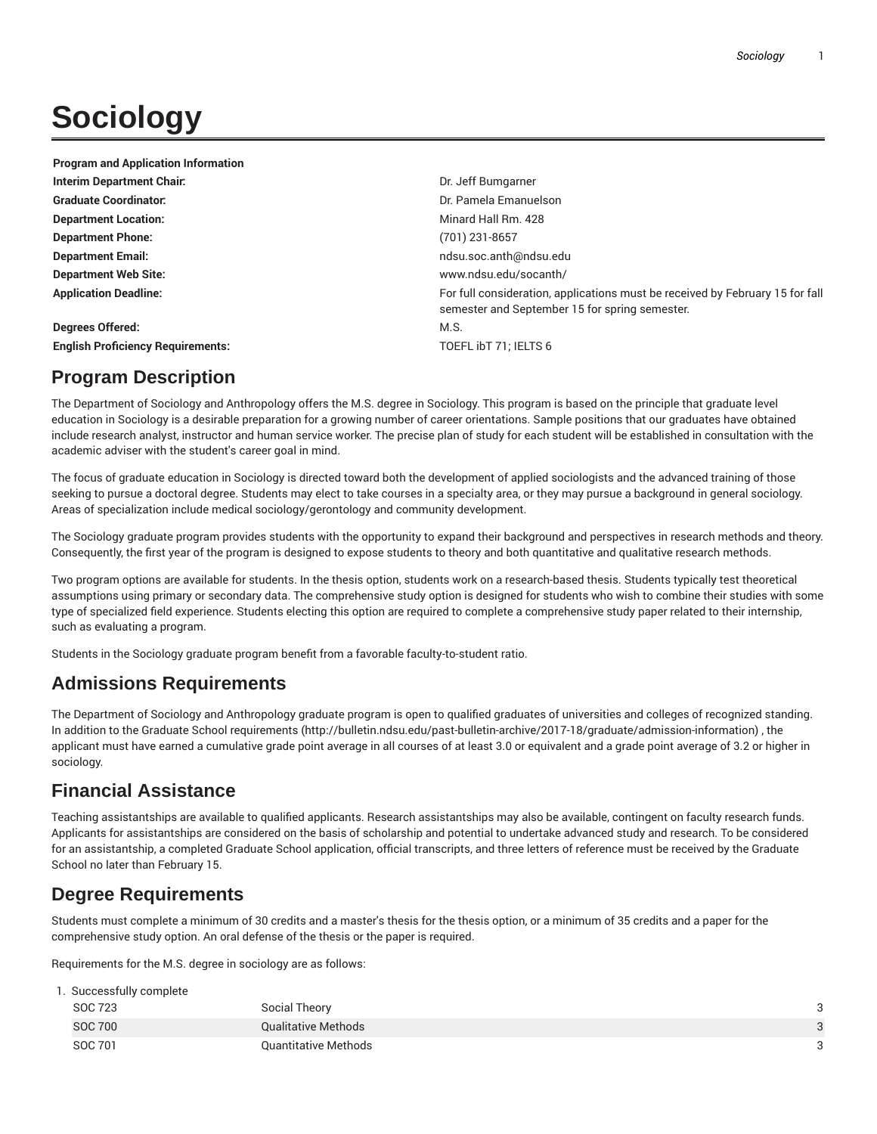# **Sociology**

| <b>Program and Application Information</b> |                                                                                                                                 |
|--------------------------------------------|---------------------------------------------------------------------------------------------------------------------------------|
| Interim Department Chair.                  | Dr. Jeff Bumgarner                                                                                                              |
| <b>Graduate Coordinator:</b>               | Dr. Pamela Emanuelson                                                                                                           |
| <b>Department Location:</b>                | Minard Hall Rm, 428                                                                                                             |
| <b>Department Phone:</b>                   | (701) 231-8657                                                                                                                  |
| <b>Department Email:</b>                   | ndsu.soc.anth@ndsu.edu                                                                                                          |
| <b>Department Web Site:</b>                | www.ndsu.edu/socanth/                                                                                                           |
| <b>Application Deadline:</b>               | For full consideration, applications must be received by February 15 for fall<br>semester and September 15 for spring semester. |
| <b>Degrees Offered:</b>                    | M.S.                                                                                                                            |
| <b>English Proficiency Requirements:</b>   | TOEFL IbT 71: IELTS 6                                                                                                           |

## **Program Description**

The Department of Sociology and Anthropology offers the M.S. degree in Sociology. This program is based on the principle that graduate level education in Sociology is a desirable preparation for a growing number of career orientations. Sample positions that our graduates have obtained include research analyst, instructor and human service worker. The precise plan of study for each student will be established in consultation with the academic adviser with the student's career goal in mind.

The focus of graduate education in Sociology is directed toward both the development of applied sociologists and the advanced training of those seeking to pursue a doctoral degree. Students may elect to take courses in a specialty area, or they may pursue a background in general sociology. Areas of specialization include medical sociology/gerontology and community development.

The Sociology graduate program provides students with the opportunity to expand their background and perspectives in research methods and theory. Consequently, the first year of the program is designed to expose students to theory and both quantitative and qualitative research methods.

Two program options are available for students. In the thesis option, students work on a research-based thesis. Students typically test theoretical assumptions using primary or secondary data. The comprehensive study option is designed for students who wish to combine their studies with some type of specialized field experience. Students electing this option are required to complete a comprehensive study paper related to their internship, such as evaluating a program.

Students in the Sociology graduate program benefit from a favorable faculty-to-student ratio.

# **Admissions Requirements**

The Department of Sociology and Anthropology graduate program is open to qualified graduates of universities and colleges of recognized standing. In addition to the Graduate School requirements (http://bulletin.ndsu.edu/past-bulletin-archive/2017-18/graduate/admission-information) , the applicant must have earned a cumulative grade point average in all courses of at least 3.0 or equivalent and a grade point average of 3.2 or higher in sociology.

# **Financial Assistance**

Teaching assistantships are available to qualified applicants. Research assistantships may also be available, contingent on faculty research funds. Applicants for assistantships are considered on the basis of scholarship and potential to undertake advanced study and research. To be considered for an assistantship, a completed Graduate School application, official transcripts, and three letters of reference must be received by the Graduate School no later than February 15.

## **Degree Requirements**

Students must complete a minimum of 30 credits and a master's thesis for the thesis option, or a minimum of 35 credits and a paper for the comprehensive study option. An oral defense of the thesis or the paper is required.

Requirements for the M.S. degree in sociology are as follows:

| 1. Successfully complete |                                      |                                                              |
|--------------------------|--------------------------------------|--------------------------------------------------------------|
|                          |                                      |                                                              |
|                          |                                      |                                                              |
|                          |                                      |                                                              |
|                          | SOC 723<br><b>SOC 700</b><br>SOC 701 | Social Theory<br>Qualitative Methods<br>Quantitative Methods |